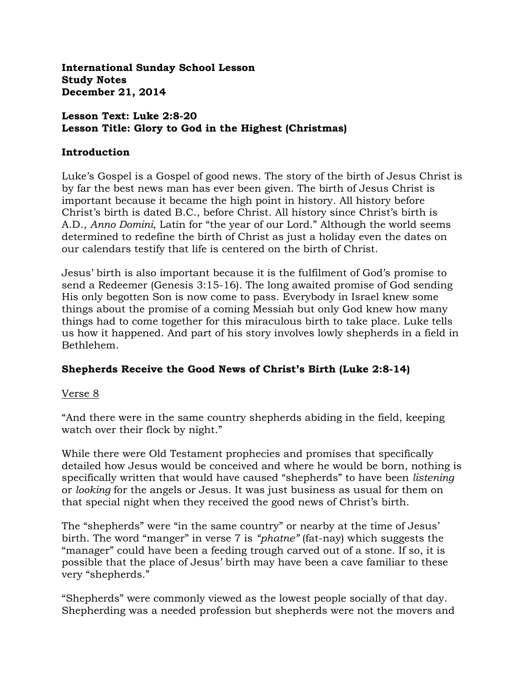**International Sunday School Lesson Study Notes December 21, 2014**

### **Lesson Text: Luke 2:8-20 Lesson Title: Glory to God in the Highest (Christmas)**

#### **Introduction**

Luke's Gospel is a Gospel of good news. The story of the birth of Jesus Christ is by far the best news man has ever been given. The birth of Jesus Christ is important because it became the high point in history. All history before Christ's birth is dated B.C., before Christ. All history since Christ's birth is A.D., *Anno Domini*, Latin for "the year of our Lord." Although the world seems determined to redefine the birth of Christ as just a holiday even the dates on our calendars testify that life is centered on the birth of Christ.

Jesus' birth is also important because it is the fulfilment of God's promise to send a Redeemer (Genesis 3:15-16). The long awaited promise of God sending His only begotten Son is now come to pass. Everybody in Israel knew some things about the promise of a coming Messiah but only God knew how many things had to come together for this miraculous birth to take place. Luke tells us how it happened. And part of his story involves lowly shepherds in a field in Bethlehem.

## **Shepherds Receive the Good News of Christ's Birth (Luke 2:8-14)**

### Verse 8

"And there were in the same country shepherds abiding in the field, keeping watch over their flock by night."

While there were Old Testament prophecies and promises that specifically detailed how Jesus would be conceived and where he would be born, nothing is specifically written that would have caused "shepherds" to have been *listening* or *looking* for the angels or Jesus. It was just business as usual for them on that special night when they received the good news of Christ's birth.

The "shepherds" were "in the same country" or nearby at the time of Jesus' birth. The word "manger" in verse 7 is *"phatne"* (fat-nay) which suggests the "manager" could have been a feeding trough carved out of a stone. If so, it is possible that the place of Jesus' birth may have been a cave familiar to these very "shepherds."

"Shepherds" were commonly viewed as the lowest people socially of that day. Shepherding was a needed profession but shepherds were not the movers and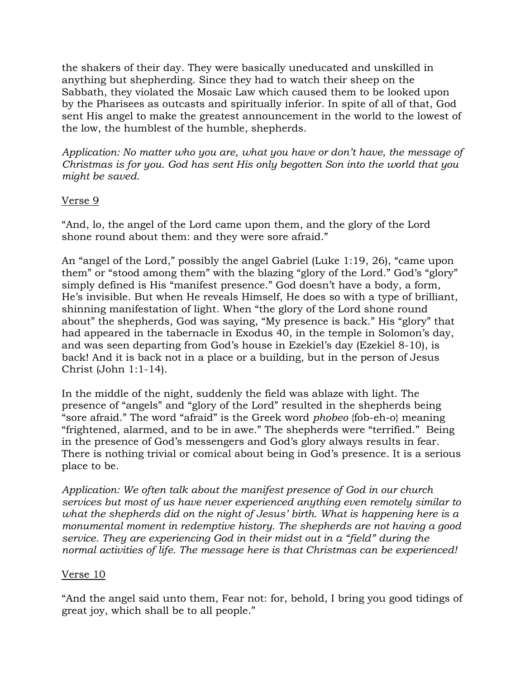the shakers of their day. They were basically uneducated and unskilled in anything but shepherding. Since they had to watch their sheep on the Sabbath, they violated the Mosaic Law which caused them to be looked upon by the Pharisees as outcasts and spiritually inferior. In spite of all of that, God sent His angel to make the greatest announcement in the world to the lowest of the low, the humblest of the humble, shepherds.

*Application: No matter who you are, what you have or don't have, the message of Christmas is for you. God has sent His only begotten Son into the world that you might be saved.*

## Verse 9

"And, lo, the angel of the Lord came upon them, and the glory of the Lord shone round about them: and they were sore afraid."

An "angel of the Lord," possibly the angel Gabriel (Luke 1:19, 26), "came upon them" or "stood among them" with the blazing "glory of the Lord." God's "glory" simply defined is His "manifest presence." God doesn't have a body, a form, He's invisible. But when He reveals Himself, He does so with a type of brilliant, shinning manifestation of light. When "the glory of the Lord shone round about" the shepherds, God was saying, "My presence is back." His "glory" that had appeared in the tabernacle in Exodus 40, in the temple in Solomon's day, and was seen departing from God's house in Ezekiel's day (Ezekiel 8-10), is back! And it is back not in a place or a building, but in the person of Jesus Christ (John 1:1-14).

In the middle of the night, suddenly the field was ablaze with light. The presence of "angels" and "glory of the Lord" resulted in the shepherds being "sore afraid." The word "afraid" is the Greek word *phobeo* {fob-eh-o} meaning "frightened, alarmed, and to be in awe." The shepherds were "terrified." Being in the presence of God's messengers and God's glory always results in fear. There is nothing trivial or comical about being in God's presence. It is a serious place to be.

*Application: We often talk about the manifest presence of God in our church services but most of us have never experienced anything even remotely similar to what the shepherds did on the night of Jesus' birth. What is happening here is a monumental moment in redemptive history. The shepherds are not having a good service. They are experiencing God in their midst out in a "field" during the normal activities of life. The message here is that Christmas can be experienced!*

## Verse 10

"And the angel said unto them, Fear not: for, behold, I bring you good tidings of great joy, which shall be to all people."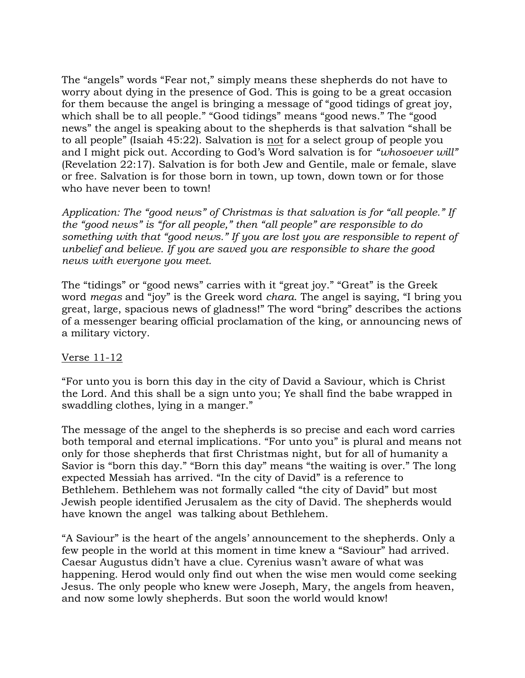The "angels" words "Fear not," simply means these shepherds do not have to worry about dying in the presence of God. This is going to be a great occasion for them because the angel is bringing a message of "good tidings of great joy, which shall be to all people." "Good tidings" means "good news." The "good news" the angel is speaking about to the shepherds is that salvation "shall be to all people" (Isaiah 45:22). Salvation is not for a select group of people you and I might pick out. According to God's Word salvation is for *"whosoever will"*  (Revelation 22:17). Salvation is for both Jew and Gentile, male or female, slave or free. Salvation is for those born in town, up town, down town or for those who have never been to town!

*Application: The "good news" of Christmas is that salvation is for "all people." If the "good news" is "for all people," then "all people" are responsible to do something with that "good news." If you are lost you are responsible to repent of unbelief and believe. If you are saved you are responsible to share the good news with everyone you meet.*

The "tidings" or "good news" carries with it "great joy." "Great" is the Greek word *megas* and "joy" is the Greek word *chara*. The angel is saying, "I bring you great, large, spacious news of gladness!" The word "bring" describes the actions of a messenger bearing official proclamation of the king, or announcing news of a military victory.

### Verse 11-12

"For unto you is born this day in the city of David a Saviour, which is Christ the Lord. And this shall be a sign unto you; Ye shall find the babe wrapped in swaddling clothes, lying in a manger."

The message of the angel to the shepherds is so precise and each word carries both temporal and eternal implications. "For unto you" is plural and means not only for those shepherds that first Christmas night, but for all of humanity a Savior is "born this day." "Born this day" means "the waiting is over." The long expected Messiah has arrived. "In the city of David" is a reference to Bethlehem. Bethlehem was not formally called "the city of David" but most Jewish people identified Jerusalem as the city of David. The shepherds would have known the angel was talking about Bethlehem.

"A Saviour" is the heart of the angels' announcement to the shepherds. Only a few people in the world at this moment in time knew a "Saviour" had arrived. Caesar Augustus didn't have a clue. Cyrenius wasn't aware of what was happening. Herod would only find out when the wise men would come seeking Jesus. The only people who knew were Joseph, Mary, the angels from heaven, and now some lowly shepherds. But soon the world would know!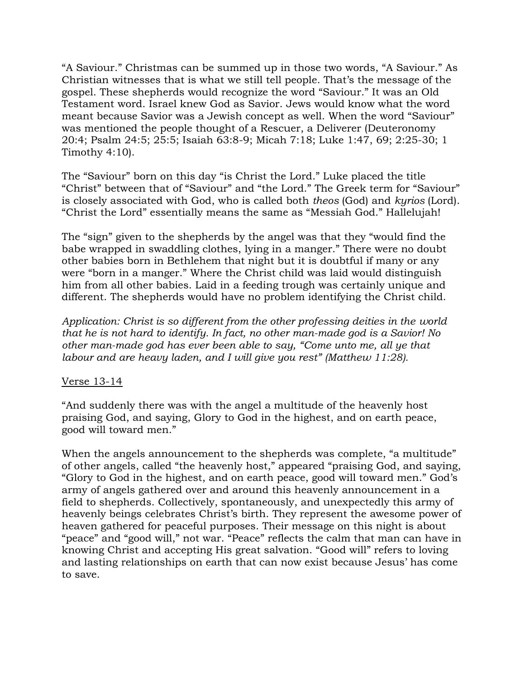"A Saviour." Christmas can be summed up in those two words, "A Saviour." As Christian witnesses that is what we still tell people. That's the message of the gospel. These shepherds would recognize the word "Saviour." It was an Old Testament word. Israel knew God as Savior. Jews would know what the word meant because Savior was a Jewish concept as well. When the word "Saviour" was mentioned the people thought of a Rescuer, a Deliverer (Deuteronomy 20:4; Psalm 24:5; 25:5; Isaiah 63:8-9; Micah 7:18; Luke 1:47, 69; 2:25-30; 1 Timothy 4:10).

The "Saviour" born on this day "is Christ the Lord." Luke placed the title "Christ" between that of "Saviour" and "the Lord." The Greek term for "Saviour" is closely associated with God, who is called both *theos* (God) and *kyrios* (Lord). "Christ the Lord" essentially means the same as "Messiah God." Hallelujah!

The "sign" given to the shepherds by the angel was that they "would find the babe wrapped in swaddling clothes, lying in a manger." There were no doubt other babies born in Bethlehem that night but it is doubtful if many or any were "born in a manger." Where the Christ child was laid would distinguish him from all other babies. Laid in a feeding trough was certainly unique and different. The shepherds would have no problem identifying the Christ child.

*Application: Christ is so different from the other professing deities in the world that he is not hard to identify. In fact, no other man-made god is a Savior! No other man-made god has ever been able to say, "Come unto me, all ye that labour and are heavy laden, and I will give you rest" (Matthew 11:28).*

### Verse 13-14

"And suddenly there was with the angel a multitude of the heavenly host praising God, and saying, Glory to God in the highest, and on earth peace, good will toward men."

When the angels announcement to the shepherds was complete, "a multitude" of other angels, called "the heavenly host," appeared "praising God, and saying, "Glory to God in the highest, and on earth peace, good will toward men." God's army of angels gathered over and around this heavenly announcement in a field to shepherds. Collectively, spontaneously, and unexpectedly this army of heavenly beings celebrates Christ's birth. They represent the awesome power of heaven gathered for peaceful purposes. Their message on this night is about "peace" and "good will," not war. "Peace" reflects the calm that man can have in knowing Christ and accepting His great salvation. "Good will" refers to loving and lasting relationships on earth that can now exist because Jesus' has come to save.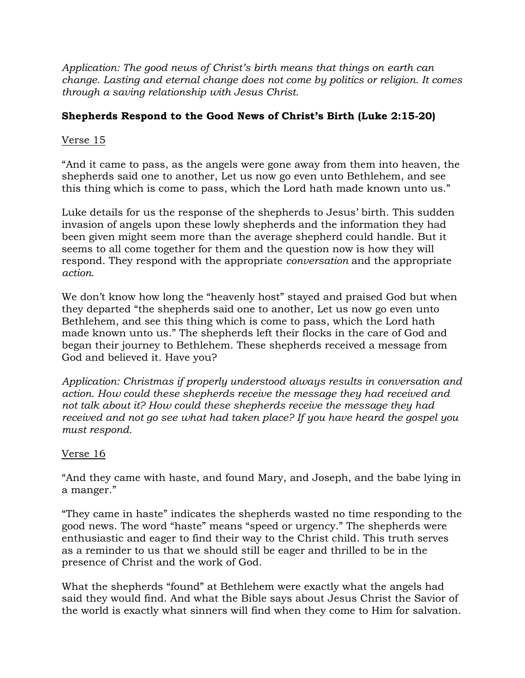*Application: The good news of Christ's birth means that things on earth can change. Lasting and eternal change does not come by politics or religion. It comes through a saving relationship with Jesus Christ.* 

# **Shepherds Respond to the Good News of Christ's Birth (Luke 2:15-20)**

# Verse 15

"And it came to pass, as the angels were gone away from them into heaven, the shepherds said one to another, Let us now go even unto Bethlehem, and see this thing which is come to pass, which the Lord hath made known unto us."

Luke details for us the response of the shepherds to Jesus' birth. This sudden invasion of angels upon these lowly shepherds and the information they had been given might seem more than the average shepherd could handle. But it seems to all come together for them and the question now is how they will respond. They respond with the appropriate *conversation* and the appropriate *action*.

We don't know how long the "heavenly host" stayed and praised God but when they departed "the shepherds said one to another, Let us now go even unto Bethlehem, and see this thing which is come to pass, which the Lord hath made known unto us." The shepherds left their flocks in the care of God and began their journey to Bethlehem. These shepherds received a message from God and believed it. Have you?

*Application: Christmas if properly understood always results in conversation and action. How could these shepherds receive the message they had received and not talk about it? How could these shepherds receive the message they had received and not go see what had taken place? If you have heard the gospel you must respond.* 

## Verse 16

"And they came with haste, and found Mary, and Joseph, and the babe lying in a manger."

"They came in haste" indicates the shepherds wasted no time responding to the good news. The word "haste" means "speed or urgency." The shepherds were enthusiastic and eager to find their way to the Christ child. This truth serves as a reminder to us that we should still be eager and thrilled to be in the presence of Christ and the work of God.

What the shepherds "found" at Bethlehem were exactly what the angels had said they would find. And what the Bible says about Jesus Christ the Savior of the world is exactly what sinners will find when they come to Him for salvation.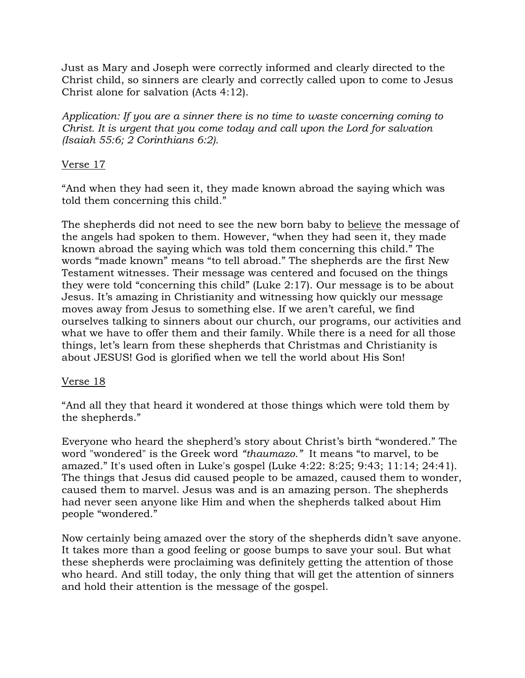Just as Mary and Joseph were correctly informed and clearly directed to the Christ child, so sinners are clearly and correctly called upon to come to Jesus Christ alone for salvation (Acts 4:12).

*Application: If you are a sinner there is no time to waste concerning coming to Christ. It is urgent that you come today and call upon the Lord for salvation (Isaiah 55:6; 2 Corinthians 6:2).*

# Verse 17

"And when they had seen it, they made known abroad the saying which was told them concerning this child."

The shepherds did not need to see the new born baby to believe the message of the angels had spoken to them. However, "when they had seen it, they made known abroad the saying which was told them concerning this child." The words "made known" means "to tell abroad." The shepherds are the first New Testament witnesses. Their message was centered and focused on the things they were told "concerning this child" (Luke 2:17). Our message is to be about Jesus. It's amazing in Christianity and witnessing how quickly our message moves away from Jesus to something else. If we aren't careful, we find ourselves talking to sinners about our church, our programs, our activities and what we have to offer them and their family. While there is a need for all those things, let's learn from these shepherds that Christmas and Christianity is about JESUS! God is glorified when we tell the world about His Son!

## Verse 18

"And all they that heard it wondered at those things which were told them by the shepherds."

Everyone who heard the shepherd's story about Christ's birth "wondered." The word "wondered" is the Greek word *"thaumazo."* It means "to marvel, to be amazed." It's used often in Luke's gospel (Luke 4:22: 8:25; 9:43; 11:14; 24:41). The things that Jesus did caused people to be amazed, caused them to wonder, caused them to marvel. Jesus was and is an amazing person. The shepherds had never seen anyone like Him and when the shepherds talked about Him people "wondered."

Now certainly being amazed over the story of the shepherds didn't save anyone. It takes more than a good feeling or goose bumps to save your soul. But what these shepherds were proclaiming was definitely getting the attention of those who heard. And still today, the only thing that will get the attention of sinners and hold their attention is the message of the gospel.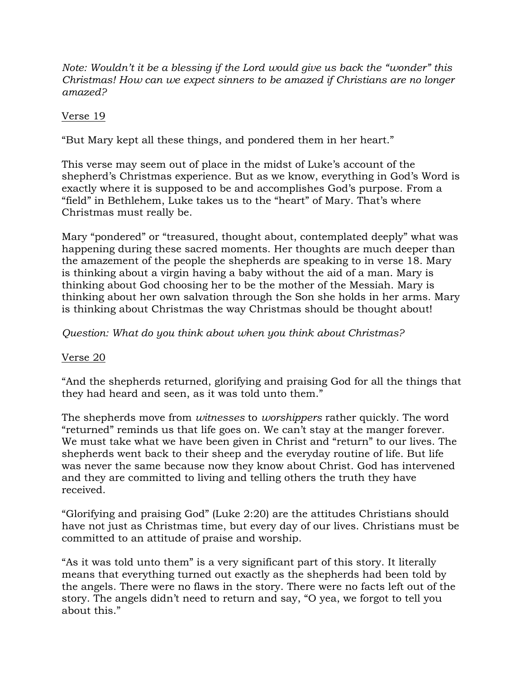*Note: Wouldn't it be a blessing if the Lord would give us back the "wonder" this Christmas! How can we expect sinners to be amazed if Christians are no longer amazed?*

## Verse 19

"But Mary kept all these things, and pondered them in her heart."

This verse may seem out of place in the midst of Luke's account of the shepherd's Christmas experience. But as we know, everything in God's Word is exactly where it is supposed to be and accomplishes God's purpose. From a "field" in Bethlehem, Luke takes us to the "heart" of Mary. That's where Christmas must really be.

Mary "pondered" or "treasured, thought about, contemplated deeply" what was happening during these sacred moments. Her thoughts are much deeper than the amazement of the people the shepherds are speaking to in verse 18. Mary is thinking about a virgin having a baby without the aid of a man. Mary is thinking about God choosing her to be the mother of the Messiah. Mary is thinking about her own salvation through the Son she holds in her arms. Mary is thinking about Christmas the way Christmas should be thought about!

## *Question: What do you think about when you think about Christmas?*

### Verse 20

"And the shepherds returned, glorifying and praising God for all the things that they had heard and seen, as it was told unto them."

The shepherds move from *witnesses* to *worshippers* rather quickly. The word "returned" reminds us that life goes on. We can't stay at the manger forever. We must take what we have been given in Christ and "return" to our lives. The shepherds went back to their sheep and the everyday routine of life. But life was never the same because now they know about Christ. God has intervened and they are committed to living and telling others the truth they have received.

"Glorifying and praising God" (Luke 2:20) are the attitudes Christians should have not just as Christmas time, but every day of our lives. Christians must be committed to an attitude of praise and worship.

"As it was told unto them" is a very significant part of this story. It literally means that everything turned out exactly as the shepherds had been told by the angels. There were no flaws in the story. There were no facts left out of the story. The angels didn't need to return and say, "O yea, we forgot to tell you about this."